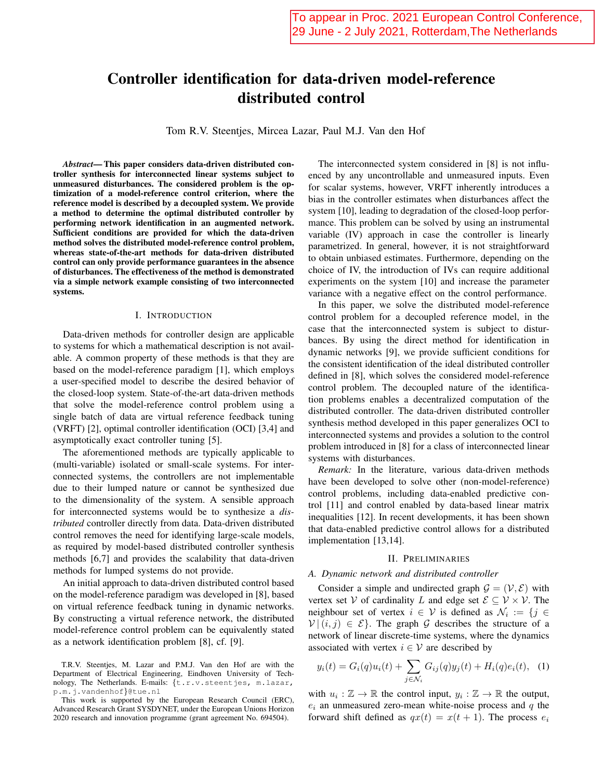# Controller identification for data-driven model-reference distributed control

Tom R.V. Steentjes, Mircea Lazar, Paul M.J. Van den Hof

Abstract—This paper considers data-driven distributed controller synthesis for interconnected linear systems subject to unmeasured disturbances. The considered problem is the optimization of a model-reference control criterion, where the reference model is described by a decoupled system. We provide a method to determine the optimal distributed controller by performing network identification in an augmented network. Sufficient conditions are provided for which the data-driven method solves the distributed model-reference control problem, whereas state-of-the-art methods for data-driven distributed control can only provide performance guarantees in the absence of disturbances. The effectiveness of the method is demonstrated via a simple network example consisting of two interconnected systems.

## I. INTRODUCTION

Data-driven methods for controller design are applicable to systems for which a mathematical description is not available. A common property of these methods is that they are based on the model-reference paradigm [1], which employs a user-specified model to describe the desired behavior of the closed-loop system. State-of-the-art data-driven methods that solve the model-reference control problem using a single batch of data are virtual reference feedback tuning (VRFT) [2], optimal controller identification (OCI) [3,4] and asymptotically exact controller tuning [5].

The aforementioned methods are typically applicable to (multi-variable) isolated or small-scale systems. For interconnected systems, the controllers are not implementable due to their lumped nature or cannot be synthesized due to the dimensionality of the system. A sensible approach for interconnected systems would be to synthesize a *dis*tributed controller directly from data. Data-driven distributed control removes the need for identifying large-scale models, as required by model-based distributed controller synthesis methods [6,7] and provides the scalability that data-driven methods for lumped systems do not provide.

An initial approach to data-driven distributed control based on the model-reference paradigm was developed in [8], based on virtual reference feedback tuning in dynamic networks. By constructing a virtual reference network, the distributed model-reference control problem can be equivalently stated as a network identification problem [8], cf. [9].

The interconnected system considered in [8] is not influenced by any uncontrollable and unmeasured inputs. Even for scalar systems, however, VRFT inherently introduces a bias in the controller estimates when disturbances affect the system [10], leading to degradation of the closed-loop performance. This problem can be solved by using an instrumental variable (IV) approach in case the controller is linearly parametrized. In general, however, it is not straightforward to obtain unbiased estimates. Furthermore, depending on the choice of IV, the introduction of IVs can require additional experiments on the system [10] and increase the parameter variance with a negative effect on the control performance.

In this paper, we solve the distributed model-reference control problem for a decoupled reference model, in the case that the interconnected system is subject to disturbances. By using the direct method for identification in dynamic networks [9], we provide sufficient conditions for the consistent identification of the ideal distributed controller defined in [8], which solves the considered model-reference control problem. The decoupled nature of the identification problems enables a decentralized computation of the distributed controller. The data-driven distributed controller synthesis method developed in this paper generalizes OCI to interconnected systems and provides a solution to the control problem introduced in [8] for a class of interconnected linear systems with disturbances.

Remark: In the literature, various data-driven methods have been developed to solve other (non-model-reference) control problems, including data-enabled predictive control [11] and control enabled by data-based linear matrix inequalities [12]. In recent developments, it has been shown that data-enabled predictive control allows for a distributed implementation [13,14].

## **II. PRELIMINARIES**

#### A. Dynamic network and distributed controller

Consider a simple and undirected graph  $\mathcal{G} = (\mathcal{V}, \mathcal{E})$  with vertex set V of cardinality L and edge set  $\mathcal{E} \subset \mathcal{V} \times \mathcal{V}$ . The neighbour set of vertex  $i \in V$  is defined as  $\mathcal{N}_i := \{j \in V\}$  $V|(i, j) \in \mathcal{E}$ . The graph G describes the structure of a network of linear discrete-time systems, where the dynamics associated with vertex  $i \in V$  are described by

$$
y_i(t) = G_i(q)u_i(t) + \sum_{j \in \mathcal{N}_i} G_{ij}(q)y_j(t) + H_i(q)e_i(t), \quad (1)
$$

with  $u_i : \mathbb{Z} \to \mathbb{R}$  the control input,  $y_i : \mathbb{Z} \to \mathbb{R}$  the output,  $e_i$  an unmeasured zero-mean white-noise process and q the forward shift defined as  $qx(t) = x(t + 1)$ . The process  $e_i$ 

T.R.V. Steentjes, M. Lazar and P.M.J. Van den Hof are with the Department of Electrical Engineering, Eindhoven University of Technology, The Netherlands. E-mails: {t.r.v.steentjes, m.lazar,  $p.m.j.vandenhof\$ <br> <br> $\verb|due.nl|$ 

This work is supported by the European Research Council (ERC), Advanced Research Grant SYSDYNET, under the European Unions Horizon 2020 research and innovation programme (grant agreement No. 694504).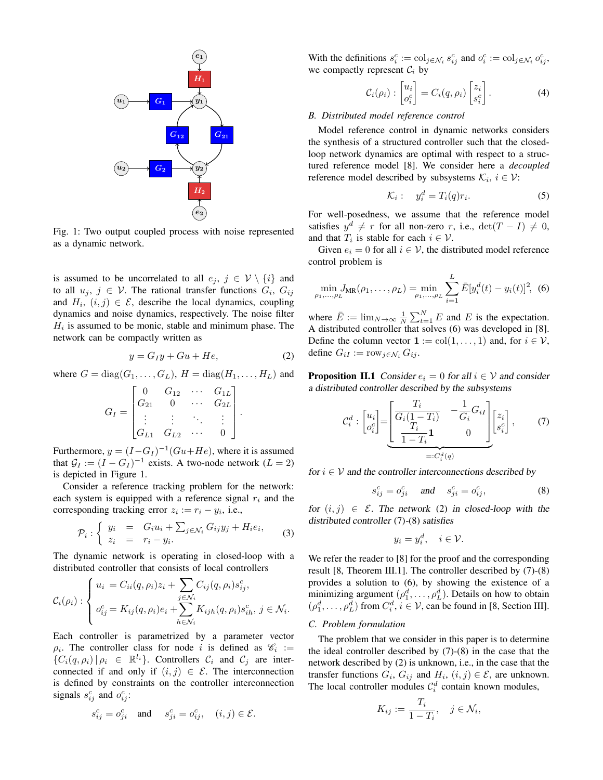

Fig. 1: Two output coupled process with noise represented as a dynamic network.

is assumed to be uncorrelated to all  $e_j$ ,  $j \in V \setminus \{i\}$  and to all  $u_i, j \in V$ . The rational transfer functions  $G_i, G_{ij}$ and  $H_i$ ,  $(i, j) \in \mathcal{E}$ , describe the local dynamics, coupling dynamics and noise dynamics, respectively. The noise filter  $H_i$  is assumed to be monic, stable and minimum phase. The network can be compactly written as

$$
y = G_I y + Gu + He,\tag{2}
$$

where  $G = diag(G_1, \ldots, G_L)$ ,  $H = diag(H_1, \ldots, H_L)$  and

$$
G_I = \begin{bmatrix} 0 & G_{12} & \cdots & G_{1L} \\ G_{21} & 0 & \cdots & G_{2L} \\ \vdots & \vdots & \ddots & \vdots \\ G_{L1} & G_{L2} & \cdots & 0 \end{bmatrix}.
$$

Furthermore,  $y = (I - G_I)^{-1} (Gu + He)$ , where it is assumed that  $\mathcal{G}_I := (I - G_I)^{-1}$  exists. A two-node network  $(L = 2)$ is depicted in Figure 1.

Consider a reference tracking problem for the network: each system is equipped with a reference signal  $r_i$  and the corresponding tracking error  $z_i := r_i - y_i$ , i.e.,

$$
\mathcal{P}_i: \left\{ \begin{array}{rcl} y_i & = & G_i u_i + \sum_{j \in \mathcal{N}_i} G_{ij} y_j + H_i e_i, \\ z_i & = & r_i - y_i. \end{array} \right. \tag{3}
$$

The dynamic network is operating in closed-loop with a distributed controller that consists of local controllers

$$
\mathcal{C}_i(\rho_i) : \begin{cases} u_i = C_{ii}(q, \rho_i)z_i + \sum_{j \in \mathcal{N}_i} C_{ij}(q, \rho_i)s_{ij}^c, \\ o_{ij}^c = K_{ij}(q, \rho_i)e_i + \sum_{h \in \mathcal{N}_i} K_{ijh}(q, \rho_i)s_{ih}^c, j \in \mathcal{N}_i. \end{cases}
$$

Each controller is parametrized by a parameter vector  $\rho_i$ . The controller class for node i is defined as  $\mathcal{C}_i$  :=  $\{C_i(q, \rho_i) | \rho_i \in \mathbb{R}^{l_i}\}\$ . Controllers  $\mathcal{C}_i$  and  $\mathcal{C}_j$  are interconnected if and only if  $(i, j) \in \mathcal{E}$ . The interconnection is defined by constraints on the controller interconnection signals  $s_{ij}^c$  and  $o_{ij}^c$ :

$$
s_{ij}^c = o_{ji}^c \quad \text{and } \quad s_{ji}^c = o_{ij}^c, \quad (i,j) \in \mathcal{E}.
$$

With the definitions  $s_i^c := \text{col}_{j \in \mathcal{N}_i} s_{ij}^c$  and  $o_i^c := \text{col}_{j \in \mathcal{N}_i} o_{ij}^c$ , we compactly represent  $C_i$  by

$$
\mathcal{C}_i(\rho_i) : \begin{bmatrix} u_i \\ o_i^c \end{bmatrix} = C_i(q, \rho_i) \begin{bmatrix} z_i \\ s_i^c \end{bmatrix} . \tag{4}
$$

## B. Distributed model reference control

Model reference control in dynamic networks considers the synthesis of a structured controller such that the closedloop network dynamics are optimal with respect to a structured reference model [8]. We consider here a *decoupled* reference model described by subsystems  $\mathcal{K}_i$ ,  $i \in \mathcal{V}$ :

$$
\mathcal{K}_i: \quad y_i^d = T_i(q)r_i. \tag{5}
$$

For well-posedness, we assume that the reference model satisfies  $y^d \neq r$  for all non-zero r, i.e.,  $\det(T - I) \neq 0$ , and that  $T_i$  is stable for each  $i \in \mathcal{V}$ .

Given  $e_i = 0$  for all  $i \in V$ , the distributed model reference control problem is

$$
\min_{\rho_1,\dots,\rho_L} J_{\text{MR}}(\rho_1,\dots,\rho_L) = \min_{\rho_1,\dots,\rho_L} \sum_{i=1}^L \bar{E}[y_i^d(t) - y_i(t)]^2, \tag{6}
$$

where  $\bar{E} := \lim_{N \to \infty} \frac{1}{N} \sum_{t=1}^{N} E$  and E is the expectation. A distributed controller that solves (6) was developed in [8]. Define the column vector  $\mathbf{1} := \text{col}(1, \dots, 1)$  and, for  $i \in \mathcal{V}$ , define  $G_{iI} := \text{row}_{j \in \mathcal{N}_i} G_{ij}.$ 

**Proposition II.1** Consider  $e_i = 0$  for all  $i \in V$  and consider a distributed controller described by the subsystems

$$
\mathcal{C}_i^d : \begin{bmatrix} u_i \\ o_i^c \end{bmatrix} = \underbrace{\begin{bmatrix} T_i & -\frac{1}{G_i} G_{iI} \\ \frac{T_i}{T_i} & 0 \end{bmatrix}}_{=: \mathcal{C}_i^d(q)} \begin{bmatrix} z_i \\ s_i^c \end{bmatrix}, \tag{7}
$$

for  $i \in V$  and the controller interconnections described by

$$
s_{ij}^c = o_{ji}^c \quad \text{and} \quad s_{ji}^c = o_{ij}^c,\tag{8}
$$

for  $(i, j) \in \mathcal{E}$ . The network (2) in closed-loop with the distributed controller (7)-(8) satisfies

$$
y_i = y_i^d, \quad i \in \mathcal{V}.
$$

We refer the reader to [8] for the proof and the corresponding result [8, Theorem III.1]. The controller described by  $(7)-(8)$ provides a solution to  $(6)$ , by showing the existence of a minimizing argument  $(\rho_1^d, \dots, \rho_L^d)$ . Details on how to obtain  $(\rho_1^d, \ldots, \rho_L^d)$  from  $C_i^d, i \in \mathcal{V}$ , can be found in [8, Section III].

## C. Problem formulation

The problem that we consider in this paper is to determine the ideal controller described by  $(7)-(8)$  in the case that the network described by (2) is unknown, i.e., in the case that the transfer functions  $G_i$ ,  $G_{ij}$  and  $H_i$ ,  $(i, j) \in \mathcal{E}$ , are unknown. The local controller modules  $C_i^d$  contain known modules,

$$
K_{ij} := \frac{T_i}{1 - T_i}, \quad j \in \mathcal{N}_i,
$$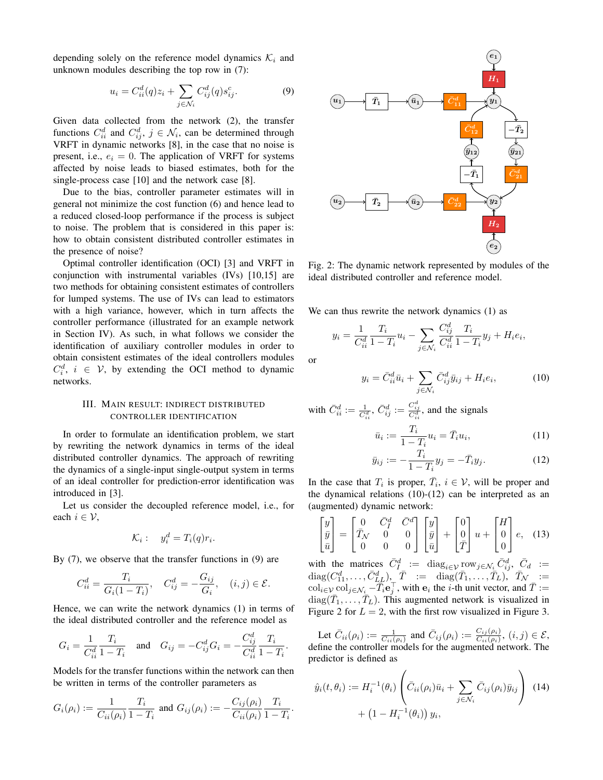depending solely on the reference model dynamics  $\mathcal{K}_i$  and unknown modules describing the top row in (7):

$$
u_i = C_{ii}^d(q)z_i + \sum_{j \in \mathcal{N}_i} C_{ij}^d(q)s_{ij}^c.
$$
 (9)

Given data collected from the network (2), the transfer functions  $C_{ii}^d$  and  $C_{ij}^d$ ,  $j \in \mathcal{N}_i$ , can be determined through VRFT in dynamic networks [8], in the case that no noise is present, i.e.,  $e_i = 0$ . The application of VRFT for systems affected by noise leads to biased estimates, both for the single-process case [10] and the network case [8].

Due to the bias, controller parameter estimates will in general not minimize the cost function (6) and hence lead to a reduced closed-loop performance if the process is subject to noise. The problem that is considered in this paper is: how to obtain consistent distributed controller estimates in the presence of noise?

Optimal controller identification (OCI) [3] and VRFT in conjunction with instrumental variables (IVs) [10,15] are two methods for obtaining consistent estimates of controllers for lumped systems. The use of IVs can lead to estimators with a high variance, however, which in turn affects the controller performance (illustrated for an example network in Section IV). As such, in what follows we consider the identification of auxiliary controller modules in order to obtain consistent estimates of the ideal controllers modules  $C_i^d$ ,  $i \in V$ , by extending the OCI method to dynamic networks.

## III. MAIN RESULT: INDIRECT DISTRIBUTED CONTROLLER IDENTIFICATION

In order to formulate an identification problem, we start by rewriting the network dynamics in terms of the ideal distributed controller dynamics. The approach of rewriting the dynamics of a single-input single-output system in terms of an ideal controller for prediction-error identification was introduced in [3].

Let us consider the decoupled reference model, i.e., for each  $i \in \mathcal{V}$ ,

$$
\mathcal{K}_i: \quad y_i^d = T_i(q)r_i.
$$

By  $(7)$ , we observe that the transfer functions in  $(9)$  are

$$
C_{ii}^d = \frac{T_i}{G_i(1 - T_i)}, \quad C_{ij}^d = -\frac{G_{ij}}{G_i}, \quad (i, j) \in \mathcal{E}.
$$

Hence, we can write the network dynamics (1) in terms of the ideal distributed controller and the reference model as

$$
G_i = \frac{1}{C_{ii}^d} \frac{T_i}{1 - T_i} \quad \text{and} \quad G_{ij} = -C_{ij}^d G_i = -\frac{C_{ij}^d}{C_{ii}^d} \frac{T_i}{1 - T_i}.
$$

Models for the transfer functions within the network can then be written in terms of the controller parameters as

$$
G_i(\rho_i) := \frac{1}{C_{ii}(\rho_i)} \frac{T_i}{1 - T_i} \text{ and } G_{ij}(\rho_i) := -\frac{C_{ij}(\rho_i)}{C_{ii}(\rho_i)} \frac{T_i}{1 - T_i}.
$$



Fig. 2: The dynamic network represented by modules of the ideal distributed controller and reference model.

We can thus rewrite the network dynamics (1) as

$$
y_i = \frac{1}{C_{ii}^d} \frac{T_i}{1 - T_i} u_i - \sum_{j \in \mathcal{N}_i} \frac{C_{ij}^d}{C_{ii}^d} \frac{T_i}{1 - T_i} y_j + H_i e_i,
$$

 $\alpha$ 

$$
y_i = \bar{C}_{ii}^d \bar{u}_i + \sum_{j \in \mathcal{N}_i} \bar{C}_{ij}^d \bar{y}_{ij} + H_i e_i, \qquad (10)
$$

with  $\bar{C}_{ii}^d := \frac{1}{C_{ii}^d}, \bar{C}_{ij}^d := \frac{C_{ij}^d}{C_{ii}^d}$ , and the signals

 $\mathfrak{L}$ 

$$
\bar{u}_i := \frac{T_i}{1 - T_i} u_i = \bar{T}_i u_i,\tag{11}
$$

$$
\bar{y}_{ij} := -\frac{T_i}{1 - T_i} y_j = -\bar{T}_i y_j.
$$
 (12)

In the case that  $T_i$  is proper,  $\overline{T}_i$ ,  $i \in \mathcal{V}$ , will be proper and the dynamical relations  $(10)-(12)$  can be interpreted as an (augmented) dynamic network:

$$
\begin{bmatrix} y \\ \bar{y} \\ \bar{u} \end{bmatrix} = \begin{bmatrix} 0 & \bar{C}_1^d & \bar{C}^d \\ \bar{T}_N & 0 & 0 \\ 0 & 0 & 0 \end{bmatrix} \begin{bmatrix} y \\ \bar{y} \\ \bar{u} \end{bmatrix} + \begin{bmatrix} 0 \\ 0 \\ \bar{T} \end{bmatrix} u + \begin{bmatrix} H \\ 0 \\ 0 \end{bmatrix} e, \quad (13)
$$

with the matrices  $\bar{C}_I^d := \text{diag}_{i \in \mathcal{V}} \text{row}_{j \in \mathcal{N}_i} \bar{C}_{ij}^d$ ,  $\bar{C}_d :=$  $diag(C_{11}^d, \ldots, \bar{C}_{LL}^d), \overline{T} := diag(\overline{T}_1, \ldots, \overline{T}_L), \overline{T}_N := col_{i \in \mathcal{V}} col_{j \in \mathcal{N}_i} - \overline{T}_i \mathbf{e}_j^T$ , with  $\mathbf{e}_i$  the *i*-th unit vector, and  $\overline{T} := \overline{T}_i$  $diag(\overline{T}_1,\ldots,\overline{T}_L)$ . This augmented network is visualized in Figure 2 for  $L = 2$ , with the first row visualized in Figure 3.

Let  $\bar{C}_{ii}(\rho_i) := \frac{1}{\bar{C}_{ii}(\rho_i)}$  and  $\bar{C}_{ij}(\rho_i) := \frac{C_{ij}(\rho_i)}{C_{ii}(\rho_i)}$ ,  $(i, j) \in \mathcal{E}$ , define the controller models for the augmented network. The predictor is defined as

$$
\hat{y}_i(t,\theta_i) := H_i^{-1}(\theta_i) \left( \bar{C}_{ii}(\rho_i)\bar{u}_i + \sum_{j \in \mathcal{N}_i} \bar{C}_{ij}(\rho_i)\bar{y}_{ij} \right)
$$
 (14)  
+ 
$$
\left(1 - H_i^{-1}(\theta_i)\right) y_i,
$$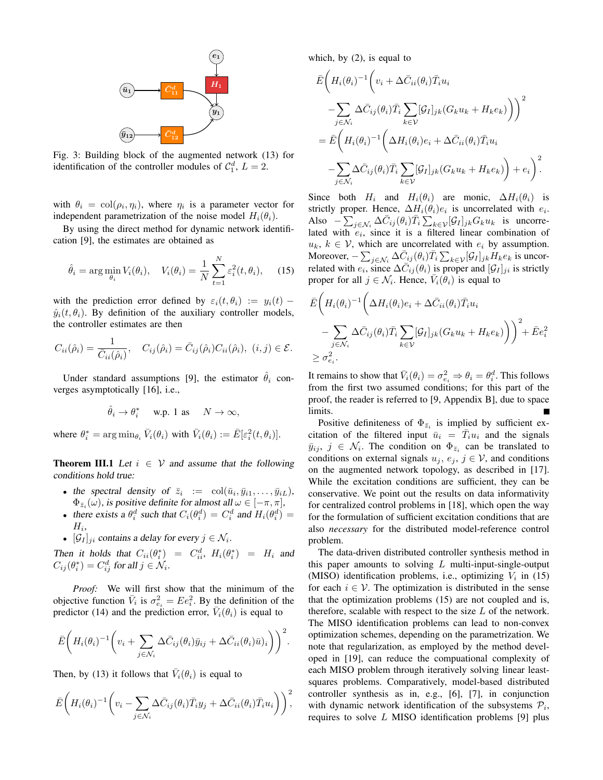

Fig. 3: Building block of the augmented network (13) for identification of the controller modules of  $C_1^d$ ,  $L = 2$ .

with  $\theta_i = \text{col}(\rho_i, \eta_i)$ , where  $\eta_i$  is a parameter vector for independent parametrization of the noise model  $H_i(\theta_i)$ .

By using the direct method for dynamic network identification [9], the estimates are obtained as

$$
\hat{\theta}_i = \arg\min_{\theta_i} V_i(\theta_i), \quad V_i(\theta_i) = \frac{1}{N} \sum_{t=1}^N \varepsilon_i^2(t, \theta_i), \quad (15)
$$

with the prediction error defined by  $\varepsilon_i(t, \theta_i) := y_i(t)$  $\hat{y}_i(t, \theta_i)$ . By definition of the auxiliary controller models, the controller estimates are then

$$
C_{ii}(\hat{\rho}_i) = \frac{1}{\bar{C}_{ii}(\hat{\rho}_i)}, \quad C_{ij}(\hat{\rho}_i) = \bar{C}_{ij}(\hat{\rho}_i) C_{ii}(\hat{\rho}_i), \ (i,j) \in \mathcal{E}.
$$

Under standard assumptions [9], the estimator  $\hat{\theta}_i$  converges asymptotically [16], i.e.,

$$
\hat{\theta}_i \to \theta_i^*
$$
 w.p. 1 as  $N \to \infty$ ,

where  $\theta_i^* = \arg \min_{\theta_i} \bar{V}_i(\theta_i)$  with  $\bar{V}_i(\theta_i) := \bar{E}[\varepsilon_i^2(t, \theta_i)].$ 

**Theorem III.1** Let  $i \in V$  and assume that the following conditions hold true:

- the spectral density of  $\bar{z}_i := \text{col}(\bar{u}_i, \bar{y}_{i1}, \dots, \bar{y}_{iL}),$  $\Phi_{\bar{z}_i}(\omega)$ , is positive definite for almost all  $\omega \in [-\pi, \pi]$ ,
- there exists a  $\theta_i^d$  such that  $C_i(\theta_i^d) = C_i^d$  and  $H_i(\theta_i^d) =$  $H_i$ ,
- $[\mathcal{G}_I]_{ji}$  contains a delay for every  $j \in \mathcal{N}_i$ .

Then it holds that  $C_{ii}(\theta_i^*) = C_{ii}^d$ ,  $H_i(\theta_i^*) = H_i$  and  $C_{ij}(\theta_i^*) = C_{ij}^d$  for all  $j \in \mathcal{N}_i$ .

Proof: We will first show that the minimum of the objective function  $\bar{V}_i$  is  $\sigma_{e_i}^2 = E e_i^2$ . By the definition of the predictor (14) and the prediction error,  $\overline{V}_i(\theta_i)$  is equal to

$$
\bar{E}\bigg(H_i(\theta_i)^{-1}\bigg(v_i+\sum_{j\in\mathcal{N}_i}\Delta\bar{C}_{ij}(\theta_i)\bar{y}_{ij}+\Delta\bar{C}_{ii}(\theta_i)\bar{u})_i\bigg)\bigg)^2.
$$

Then, by (13) it follows that  $\overline{V_i}(\theta_i)$  is equal to

$$
\bar{E}\bigg(H_i(\theta_i)^{-1}\bigg(v_i-\sum_{j\in\mathcal{N}_i}\Delta\bar{C}_{ij}(\theta_i)\bar{T}_iy_j+\Delta\bar{C}_{ii}(\theta_i)\bar{T}_iu_i\bigg)\bigg)^2,
$$

which, by  $(2)$ , is equal to

$$
\bar{E}\Big(H_i(\theta_i)^{-1}\Big(v_i + \Delta \bar{C}_{ii}(\theta_i)\bar{T}_i u_i
$$
\n
$$
-\sum_{j\in\mathcal{N}_i} \Delta \bar{C}_{ij}(\theta_i)\bar{T}_i\sum_{k\in\mathcal{V}}[\mathcal{G}_I]_{jk}(G_k u_k + H_k e_k)\Big)\Big)^2
$$
\n
$$
=\bar{E}\Big(H_i(\theta_i)^{-1}\Big(\Delta H_i(\theta_i)e_i + \Delta \bar{C}_{ii}(\theta_i)\bar{T}_i u_i
$$
\n
$$
-\sum_{j\in\mathcal{N}_i} \Delta \bar{C}_{ij}(\theta_i)\bar{T}_i\sum_{k\in\mathcal{V}}[\mathcal{G}_I]_{jk}(G_k u_k + H_k e_k)\Big) + e_i\Big)^2.
$$

Since both  $H_i$  and  $H_i(\theta_i)$  are monic,  $\Delta H_i(\theta_i)$  is strictly proper. Hence,  $\Delta H_i(\theta_i)e_i$  is uncorrelated with  $e_i$ . Also  $-\sum_{j \in \mathcal{N}_i} \Delta C_{ij}(\theta_i) T_i \sum_{k \in \mathcal{V}} [G_I]_{jk} G_k u_k$  is uncorrelated with  $e_i$ , since it is a filtered linear combination of  $u_k, k \in V$ , which are uncorrelated with  $e_i$  by assumption. Moreover,  $-\sum_{j \in \mathcal{N}_i} \Delta \bar{C}_{ij}(\theta_i) \bar{T}_i \sum_{k \in \mathcal{V}} [G_I]_{jk} H_k e_k$  is uncorrelated with  $e_i$ , since  $\Delta \bar{C}_{ij}(\theta_i)$  is proper and  $[\mathcal{G}_I]_{ji}$  is strictly proper for all  $j \in \mathcal{N}_i$ . Hence,  $\overline{V}_i(\theta_i)$  is equal to

$$
\bar{E}\left(H_i(\theta_i)^{-1}\left(\Delta H_i(\theta_i)e_i + \Delta \bar{C}_{ii}(\theta_i)\bar{T}_i u_i\right) - \sum_{j\in\mathcal{N}_i} \Delta \bar{C}_{ij}(\theta_i)\bar{T}_i \sum_{k\in\mathcal{V}} [\mathcal{G}_I]_{jk} (G_k u_k + H_k e_k)\right)\right)^2 + \bar{E}e_i^2
$$
\n
$$
\geq \sigma_{e_i}^2.
$$

It remains to show that  $\bar{V}_i(\theta_i) = \sigma_{e_i}^2 \Rightarrow \theta_i = \theta_i^d$ . This follows from the first two assumed conditions; for this part of the proof, the reader is referred to [9, Appendix B], due to space limits.

Positive definiteness of  $\Phi_{\bar{z}_i}$  is implied by sufficient excitation of the filtered input  $\bar{u}_i = T_i u_i$  and the signals  $\bar{y}_{ij}, j \in \mathcal{N}_i$ . The condition on  $\Phi_{\bar{z}_i}$  can be translated to conditions on external signals  $u_j$ ,  $e_j$ ,  $j \in V$ , and conditions on the augmented network topology, as described in [17]. While the excitation conditions are sufficient, they can be conservative. We point out the results on data informativity for centralized control problems in [18], which open the way for the formulation of sufficient excitation conditions that are also necessary for the distributed model-reference control problem.

The data-driven distributed controller synthesis method in this paper amounts to solving  $L$  multi-input-single-output (MISO) identification problems, i.e., optimizing  $V_i$  in (15) for each  $i \in V$ . The optimization is distributed in the sense that the optimization problems (15) are not coupled and is, therefore, scalable with respect to the size  $L$  of the network. The MISO identification problems can lead to non-convex optimization schemes, depending on the parametrization. We note that regularization, as employed by the method developed in [19], can reduce the computaional complexity of each MISO problem through iteratively solving linear leastsquares problems. Comparatively, model-based distributed controller synthesis as in, e.g.,  $[6]$ ,  $[7]$ , in conjunction with dynamic network identification of the subsystems  $P_i$ , requires to solve L MISO identification problems [9] plus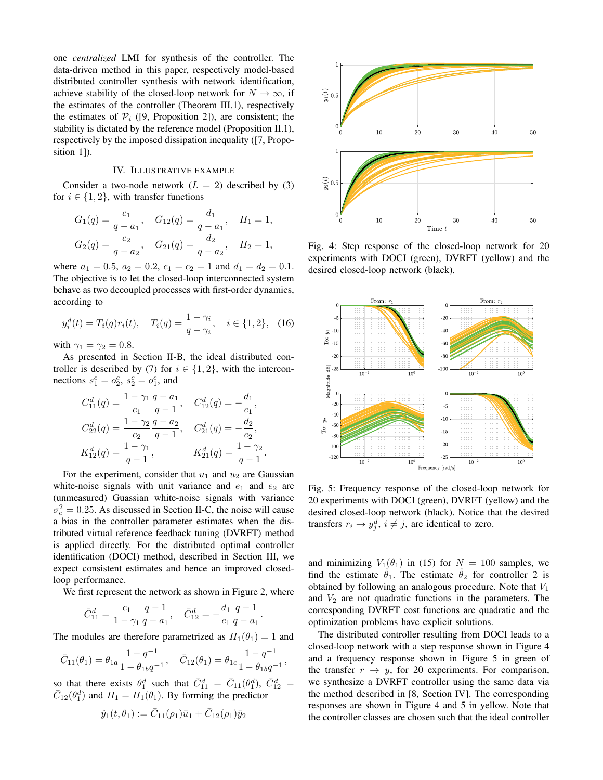one centralized LMI for synthesis of the controller. The data-driven method in this paper, respectively model-based distributed controller synthesis with network identification, achieve stability of the closed-loop network for  $N \to \infty$ , if the estimates of the controller (Theorem III.1), respectively the estimates of  $\mathcal{P}_i$  ([9, Proposition 2]), are consistent; the stability is dictated by the reference model (Proposition II.1), respectively by the imposed dissipation inequality ([7, Proposition 1]).

#### IV. ILLUSTRATIVE EXAMPLE

Consider a two-node network  $(L = 2)$  described by (3) for  $i \in \{1, 2\}$ , with transfer functions

$$
G_1(q) = \frac{c_1}{q - a_1}, \quad G_{12}(q) = \frac{d_1}{q - a_1}, \quad H_1 = 1,
$$
  

$$
G_2(q) = \frac{c_2}{q - a_2}, \quad G_{21}(q) = \frac{d_2}{q - a_2}, \quad H_2 = 1,
$$

where  $a_1 = 0.5$ ,  $a_2 = 0.2$ ,  $c_1 = c_2 = 1$  and  $d_1 = d_2 = 0.1$ . The objective is to let the closed-loop interconnected system behave as two decoupled processes with first-order dynamics, according to

$$
y_i^d(t) = T_i(q)r_i(t), \quad T_i(q) = \frac{1-\gamma_i}{q-\gamma_i}, \quad i \in \{1,2\},
$$
 (16)

with  $\gamma_1 = \gamma_2 = 0.8$ .

As presented in Section II-B, the ideal distributed controller is described by (7) for  $i \in \{1, 2\}$ , with the interconnections  $s_1^c = o_2^c$ ,  $s_2^c = o_1^c$ , and

$$
C_{11}^d(q) = \frac{1 - \gamma_1}{c_1} \frac{q - a_1}{q - 1}, \quad C_{12}^d(q) = -\frac{d_1}{c_1},
$$
  
\n
$$
C_{22}^d(q) = \frac{1 - \gamma_2}{c_2} \frac{q - a_2}{q - 1}, \quad C_{21}^d(q) = -\frac{d_2}{c_2},
$$
  
\n
$$
K_{12}^d(q) = \frac{1 - \gamma_1}{q - 1}, \quad K_{21}^d(q) = \frac{1 - \gamma_2}{q - 1}.
$$

For the experiment, consider that  $u_1$  and  $u_2$  are Gaussian white-noise signals with unit variance and  $e_1$  and  $e_2$  are (unmeasured) Guassian white-noise signals with variance  $\sigma_e^2 = 0.25$ . As discussed in Section II-C, the noise will cause a bias in the controller parameter estimates when the distributed virtual reference feedback tuning (DVRFT) method is applied directly. For the distributed optimal controller identification (DOCI) method, described in Section III, we expect consistent estimates and hence an improved closedloop performance.

We first represent the network as shown in Figure 2, where

$$
\bar{C}_{11}^d = \frac{c_1}{1 - \gamma_1} \frac{q - 1}{q - a_1}, \quad \bar{C}_{12}^d = -\frac{d_1}{c_1} \frac{q - 1}{q - a_1}
$$

The modules are therefore parametrized as  $H_1(\theta_1) = 1$  and

$$
\bar{C}_{11}(\theta_1) = \theta_{1a} \frac{1 - q^{-1}}{1 - \theta_{1b}q^{-1}}, \quad \bar{C}_{12}(\theta_1) = \theta_{1c} \frac{1 - q^{-1}}{1 - \theta_{1b}q^{-1}},
$$

so that there exists  $\theta_1^d$  such that  $\bar{C}_{11}^d = \bar{C}_{11}(\theta_1^d)$ ,  $\bar{C}_{12}^d =$  $\overline{C}_{12}(\theta_1^d)$  and  $H_1 = H_1(\theta_1)$ . By forming the predictor

$$
\hat{y}_1(t,\theta_1) := \bar{C}_{11}(\rho_1)\bar{u}_1 + \bar{C}_{12}(\rho_1)\bar{y}_2
$$



Fig. 4: Step response of the closed-loop network for 20 experiments with DOCI (green), DVRFT (yellow) and the desired closed-loop network (black).



Fig. 5: Frequency response of the closed-loop network for 20 experiments with DOCI (green), DVRFT (yellow) and the desired closed-loop network (black). Notice that the desired transfers  $r_i \rightarrow y_i^d$ ,  $i \neq j$ , are identical to zero.

and minimizing  $V_1(\theta_1)$  in (15) for  $N = 100$  samples, we find the estimate  $\hat{\theta}_1$ . The estimate  $\hat{\theta}_2$  for controller 2 is obtained by following an analogous procedure. Note that  $V_1$ and  $V_2$  are not quadratic functions in the parameters. The corresponding DVRFT cost functions are quadratic and the optimization problems have explicit solutions.

The distributed controller resulting from DOCI leads to a closed-loop network with a step response shown in Figure 4 and a frequency response shown in Figure 5 in green of the transfer  $r \rightarrow y$ , for 20 experiments. For comparison, we synthesize a DVRFT controller using the same data via the method described in [8, Section IV]. The corresponding responses are shown in Figure 4 and 5 in yellow. Note that the controller classes are chosen such that the ideal controller